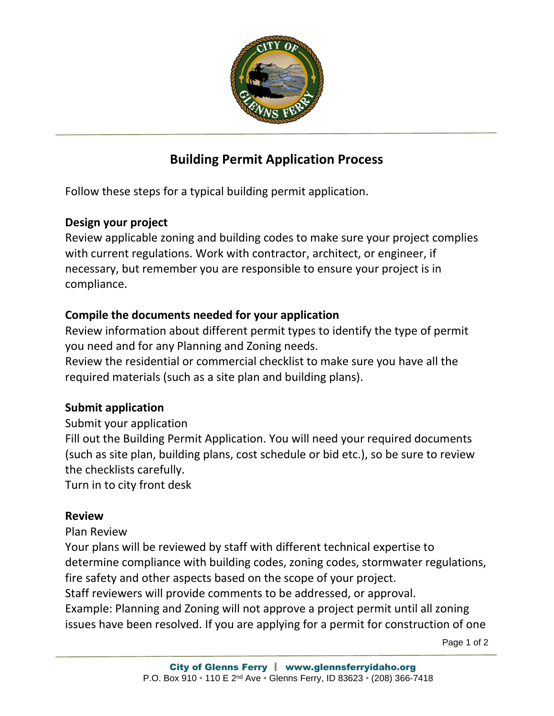

# **Building Permit Application Process**

Follow these steps for a typical building permit application.

# **Design your project**

Review applicable zoning and building codes to make sure your project complies with current regulations. Work with contractor, architect, or engineer, if necessary, but remember you are responsible to ensure your project is in compliance.

# **Compile the documents needed for your application**

Review information about different permit types to identify the type of permit you need and for any Planning and Zoning needs.

Review the residential or commercial checklist to make sure you have all the required materials (such as a site plan and building plans).

# **Submit application**

Submit your application

Fill out the Building Permit Application. You will need your required documents (such as site plan, building plans, cost schedule or bid etc.), so be sure to review the checklists carefully.

Turn in to city front desk

## **Review**

## Plan Review

Your plans will be reviewed by staff with different technical expertise to determine compliance with building codes, zoning codes, stormwater regulations, fire safety and other aspects based on the scope of your project.

Staff reviewers will provide comments to be addressed, or approval.

Example: Planning and Zoning will not approve a project permit until all zoning issues have been resolved. If you are applying for a permit for construction of one

Page 1 of 2